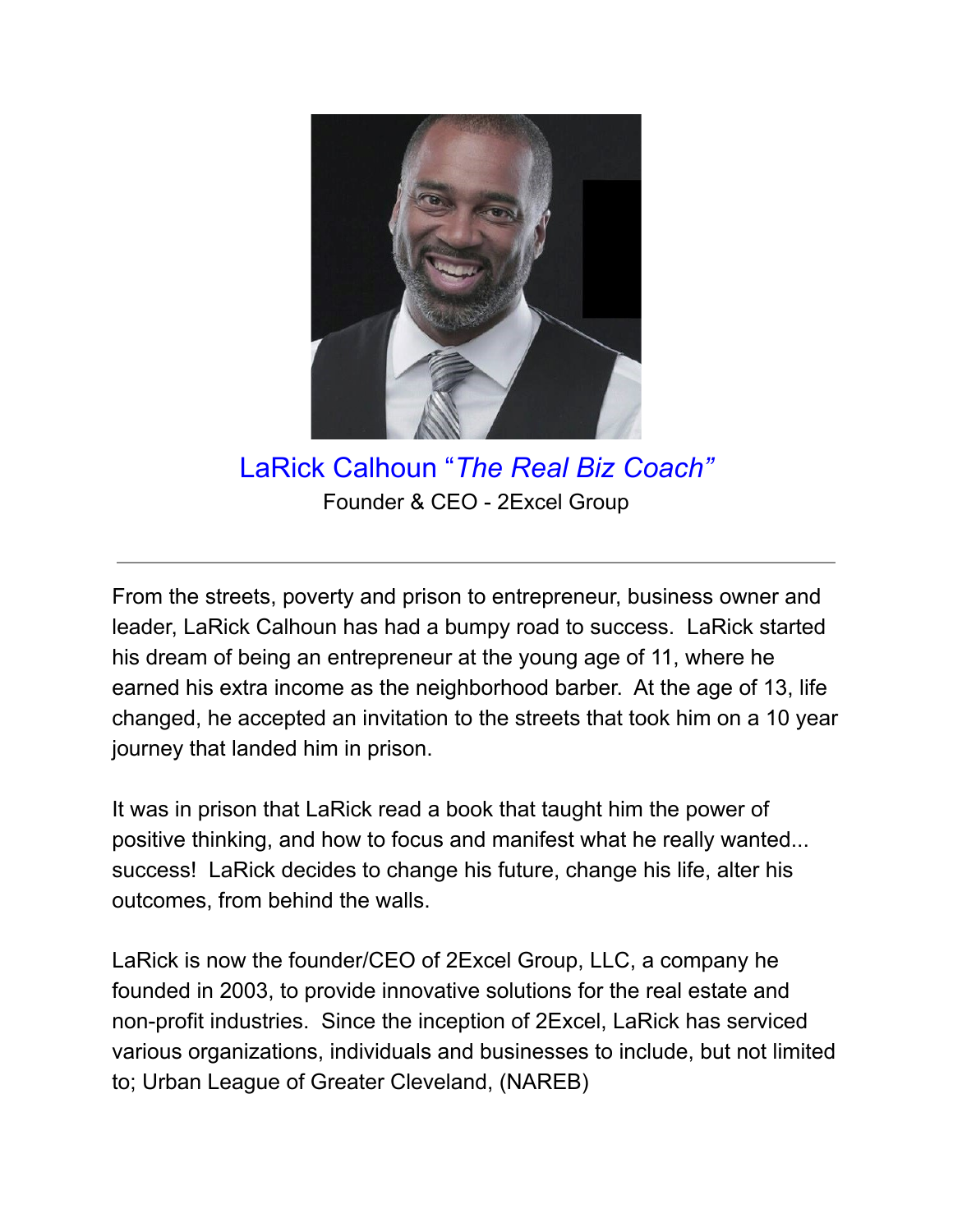

LaRick Calhoun "*The Real Biz Coach*" Founder & CEO - 2Excel Group

From the streets, poverty and prison to entrepreneur, business owner and leader, LaRick Calhoun has had a bumpy road to success. LaRick started his dream of being an entrepreneur at the young age of 11, where he earned his extra income as the neighborhood barber. At the age of 13, life changed, he accepted an invitation to the streets that took him on a 10 year journey that landed him in prison.

It was in prison that LaRick read a book that taught him the power of positive thinking, and how to focus and manifest what he really wanted... success! LaRick decides to change his future, change his life, alter his outcomes, from behind the walls.

LaRick is now the founder/CEO of 2Excel Group, LLC, a company he founded in 2003, to provide innovative solutions for the real estate and non-profit industries. Since the inception of 2Excel, LaRick has serviced various organizations, individuals and businesses to include, but not limited to; Urban League of Greater Cleveland, (NAREB)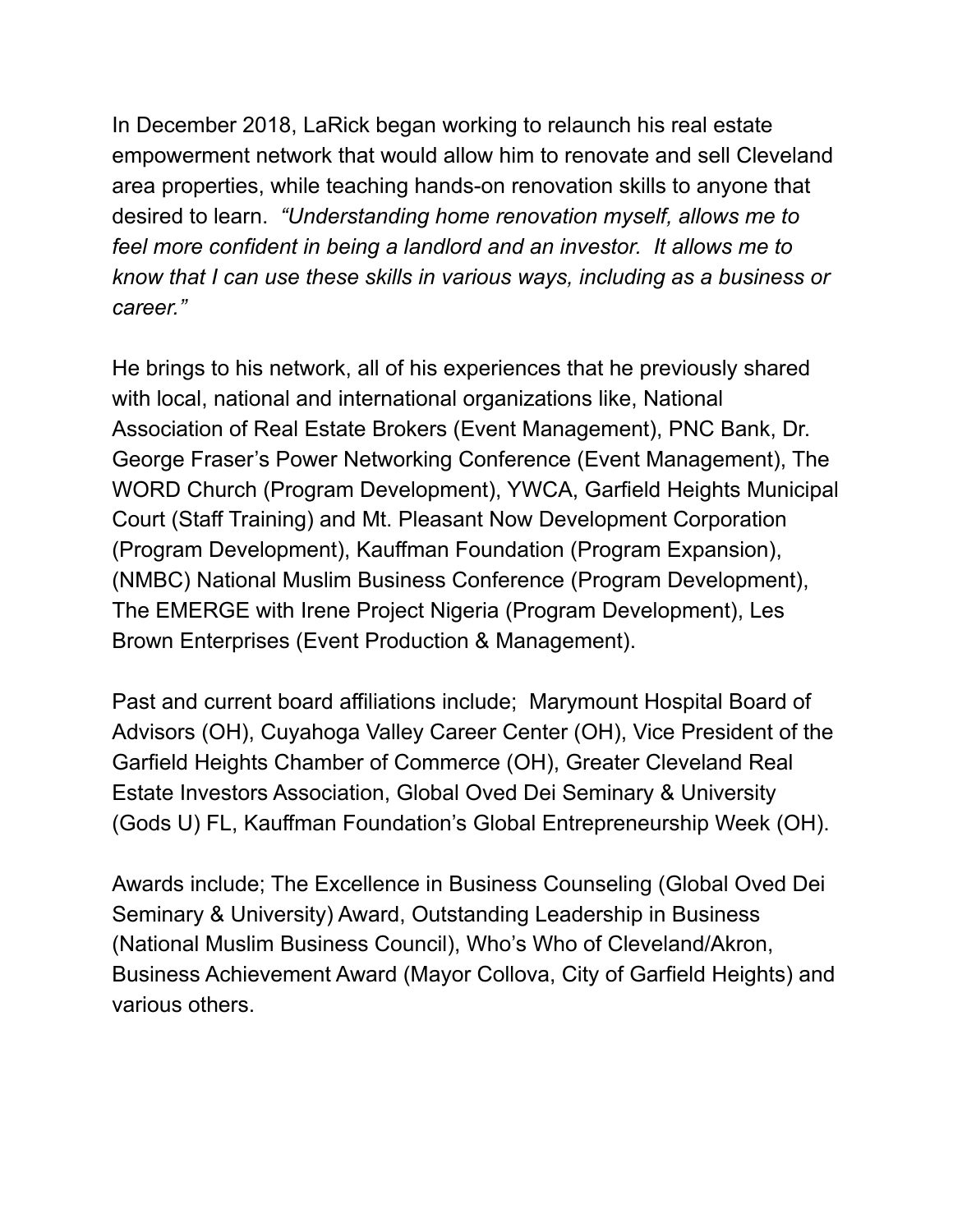In December 2018, LaRick began working to relaunch his real estate empowerment network that would allow him to renovate and sell Cleveland area properties, while teaching hands-on renovation skills to anyone that desired to learn. *"Understanding home renovation myself, allows me to feel more confident in being a landlord and an investor. It allows me to know that I can use these skills in various ways, including as a business or career.´*

He brings to his network, all of his experiences that he previously shared with local, national and international organizations like, National Association of Real Estate Brokers (Event Management), PNC Bank, Dr. George Fraser's Power Networking Conference (Event Management), The WORD Church (Program Development), YWCA, Garfield Heights Municipal Court (Staff Training) and Mt. Pleasant Now Development Corporation (Program Development), Kauffman Foundation (Program Expansion), (NMBC) National Muslim Business Conference (Program Development), The EMERGE with Irene Project Nigeria (Program Development), Les Brown Enterprises (Event Production & Management).

Past and current board affiliations include; Marymount Hospital Board of Advisors (OH), Cuyahoga Valley Career Center (OH), Vice President of the Garfield Heights Chamber of Commerce (OH), Greater Cleveland Real Estate Investors Association, Global Oved Dei Seminary & University (Gods U) FL, Kauffman Foundation's Global Entrepreneurship Week (OH).

Awards include; The Excellence in Business Counseling (Global Oved Dei Seminary & University) Award, Outstanding Leadership in Business (National Muslim Business Council), Who's Who of Cleveland/Akron, Business Achievement Award (Mayor Collova, City of Garfield Heights) and various others.